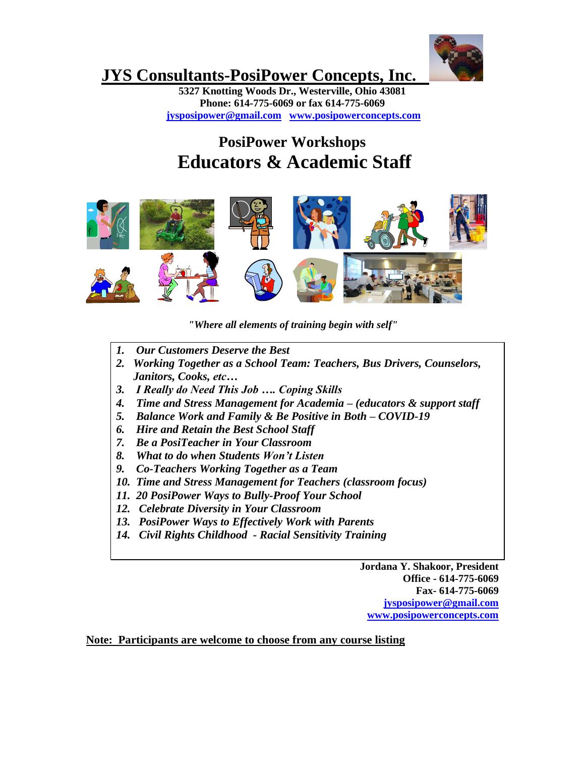

# **JYS Consultants-PosiPower Concepts, Inc.**

**5327 Knotting Woods Dr., Westerville, Ohio 43081 Phone: 614-775-6069 or fax 614-775-6069 [jysposipower@gmail.com](mailto:jysposipower@gmail.com) [www.posipowerconcepts.com](http://www.posipowerconcepts.com/)**

# **PosiPower Workshops Educators & Academic Staff**



*"Where all elements of training begin with self"*

- *1. Our Customers Deserve the Best*
- *2. Working Together as a School Team: Teachers, Bus Drivers, Counselors, Janitors, Cooks, etc…*
- *3. I Really do Need This Job …. Coping Skills*
- *4. Time and Stress Management for Academia – (educators & support staff*
- *5. Balance Work and Family & Be Positive in Both – COVID-19*
- *6. Hire and Retain the Best School Staff*
- *7. Be a PosiTeacher in Your Classroom*
- *8. What to do when Students Won't Listen*
- *9. Co-Teachers Working Together as a Team*
- *10. Time and Stress Management for Teachers (classroom focus)*
- *11. 20 PosiPower Ways to Bully-Proof Your School*
- *12. Celebrate Diversity in Your Classroom*
- *13. PosiPower Ways to Effectively Work with Parents*
- *14. Civil Rights Childhood - Racial Sensitivity Training*

**Jordana Y. Shakoor, President Office - 614-775-6069 Fax- 614-775-6069 [jysposipower@gmail.com](mailto:jysposipower@gmail.com) [www.posipowerconcepts.com](http://www.posipowerconcepts.com/)**

**Note: Participants are welcome to choose from any course listing**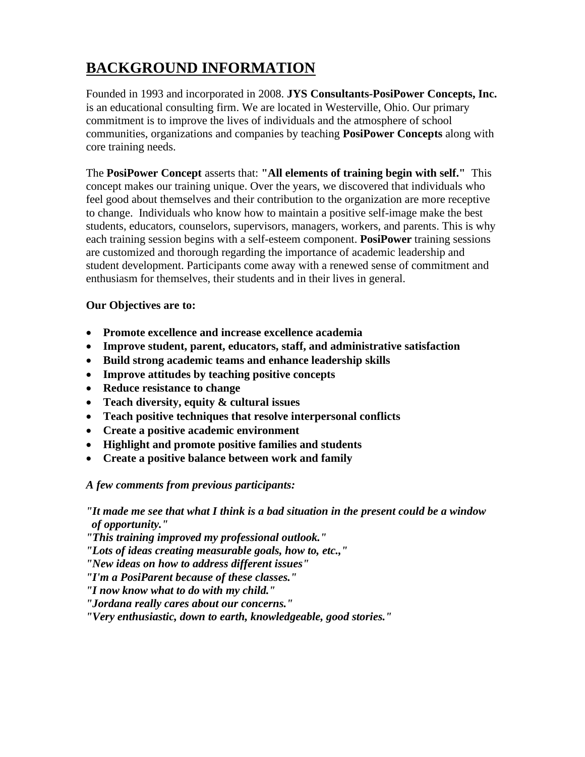# **BACKGROUND INFORMATION**

Founded in 1993 and incorporated in 2008. **JYS Consultants-PosiPower Concepts, Inc.**  is an educational consulting firm. We are located in Westerville, Ohio. Our primary commitment is to improve the lives of individuals and the atmosphere of school communities, organizations and companies by teaching **PosiPower Concepts** along with core training needs.

The **PosiPower Concept** asserts that: **"All elements of training begin with self."** This concept makes our training unique. Over the years, we discovered that individuals who feel good about themselves and their contribution to the organization are more receptive to change. Individuals who know how to maintain a positive self-image make the best students, educators, counselors, supervisors, managers, workers, and parents. This is why each training session begins with a self-esteem component. **PosiPower** training sessions are customized and thorough regarding the importance of academic leadership and student development. Participants come away with a renewed sense of commitment and enthusiasm for themselves, their students and in their lives in general.

#### **Our Objectives are to:**

- **Promote excellence and increase excellence academia**
- **Improve student, parent, educators, staff, and administrative satisfaction**
- **Build strong academic teams and enhance leadership skills**
- **Improve attitudes by teaching positive concepts**
- **Reduce resistance to change**
- **Teach diversity, equity & cultural issues**
- **Teach positive techniques that resolve interpersonal conflicts**
- **Create a positive academic environment**
- **Highlight and promote positive families and students**
- **Create a positive balance between work and family**

#### *A few comments from previous participants:*

*"It made me see that what I think is a bad situation in the present could be a window of opportunity."*

*"This training improved my professional outlook."*

*"Lots of ideas creating measurable goals, how to, etc.,"*

*"New ideas on how to address different issues"*

*"I'm a PosiParent because of these classes."*

*"I now know what to do with my child."*

*"Jordana really cares about our concerns."*

*"Very enthusiastic, down to earth, knowledgeable, good stories."*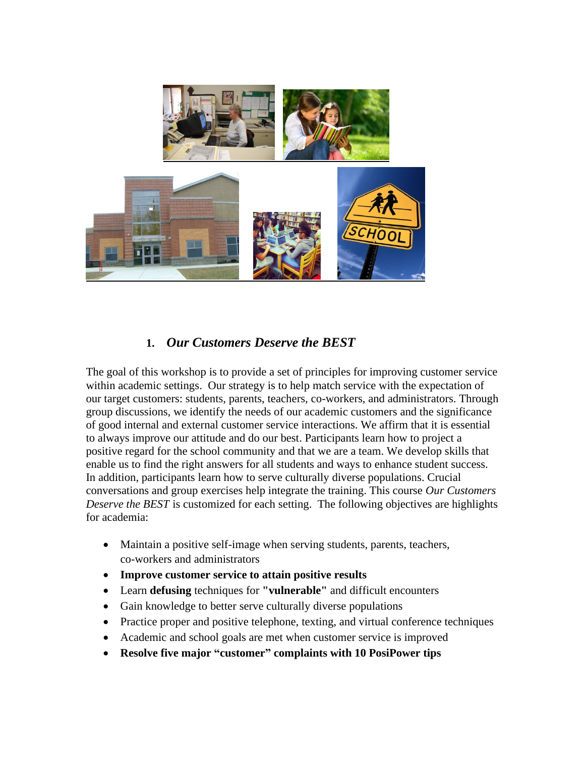

## **1.** *Our Customers Deserve the BEST*

The goal of this workshop is to provide a set of principles for improving customer service within academic settings. Our strategy is to help match service with the expectation of our target customers: students, parents, teachers, co-workers, and administrators. Through group discussions, we identify the needs of our academic customers and the significance of good internal and external customer service interactions. We affirm that it is essential to always improve our attitude and do our best. Participants learn how to project a positive regard for the school community and that we are a team. We develop skills that enable us to find the right answers for all students and ways to enhance student success. In addition, participants learn how to serve culturally diverse populations. Crucial conversations and group exercises help integrate the training. This course *Our Customers Deserve the BEST* is customized for each setting. The following objectives are highlights for academia:

- Maintain a positive self-image when serving students, parents, teachers, co-workers and administrators
- **Improve customer service to attain positive results**
- Learn **defusing** techniques for **"vulnerable"** and difficult encounters
- Gain knowledge to better serve culturally diverse populations
- Practice proper and positive telephone, texting, and virtual conference techniques
- Academic and school goals are met when customer service is improved
- **Resolve five major "customer" complaints with 10 PosiPower tips**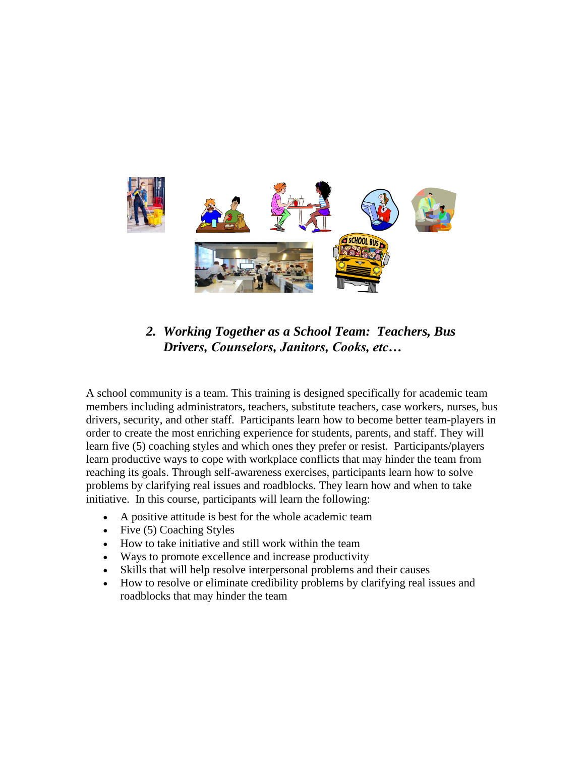

*2. Working Together as a School Team: Teachers, Bus Drivers, Counselors, Janitors, Cooks, etc…* 

A school community is a team. This training is designed specifically for academic team members including administrators, teachers, substitute teachers, case workers, nurses, bus drivers, security, and other staff. Participants learn how to become better team-players in order to create the most enriching experience for students, parents, and staff. They will learn five (5) coaching styles and which ones they prefer or resist. Participants/players learn productive ways to cope with workplace conflicts that may hinder the team from reaching its goals. Through self-awareness exercises, participants learn how to solve problems by clarifying real issues and roadblocks. They learn how and when to take initiative. In this course, participants will learn the following:

- A positive attitude is best for the whole academic team
- Five (5) Coaching Styles
- How to take initiative and still work within the team
- Ways to promote excellence and increase productivity
- Skills that will help resolve interpersonal problems and their causes
- How to resolve or eliminate credibility problems by clarifying real issues and roadblocks that may hinder the team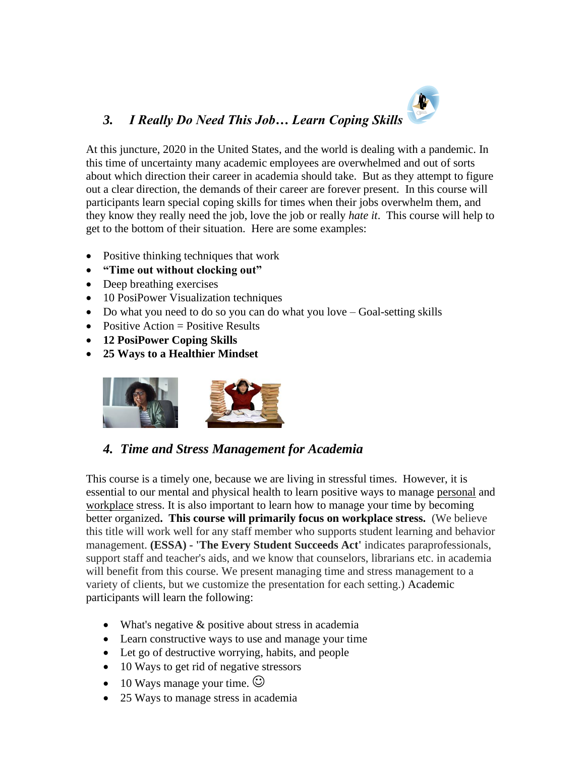# *3. I Really Do Need This Job… Learn Coping Skills*

At this juncture, 2020 in the United States, and the world is dealing with a pandemic. In this time of uncertainty many academic employees are overwhelmed and out of sorts about which direction their career in academia should take. But as they attempt to figure out a clear direction, the demands of their career are forever present. In this course will participants learn special coping skills for times when their jobs overwhelm them, and they know they really need the job, love the job or really *hate it*. This course will help to get to the bottom of their situation. Here are some examples:

A

- Positive thinking techniques that work
- **"Time out without clocking out"**
- Deep breathing exercises
- 10 PosiPower Visualization techniques
- Do what you need to do so you can do what you love Goal-setting skills
- Positive Action  $=$  Positive Results
- **12 PosiPower Coping Skills**
- **25 Ways to a Healthier Mindset**



# *4. Time and Stress Management for Academia*

This course is a timely one, because we are living in stressful times. However, it is essential to our mental and physical health to learn positive ways to manage personal and workplace stress. It is also important to learn how to manage your time by becoming better organized**. This course will primarily focus on workplace stress.** (We believe this title will work well for any staff member who supports student learning and behavior management. **(ESSA) - 'The Every Student Succeeds Act'** indicates paraprofessionals, support staff and teacher's aids, and we know that counselors, librarians etc. in academia will benefit from this course. We present managing time and stress management to a variety of clients, but we customize the presentation for each setting.) Academic participants will learn the following:

- What's negative & positive about stress in academia
- Learn constructive ways to use and manage your time
- Let go of destructive worrying, habits, and people
- 10 Ways to get rid of negative stressors
- 10 Ways manage your time.  $\odot$
- 25 Ways to manage stress in academia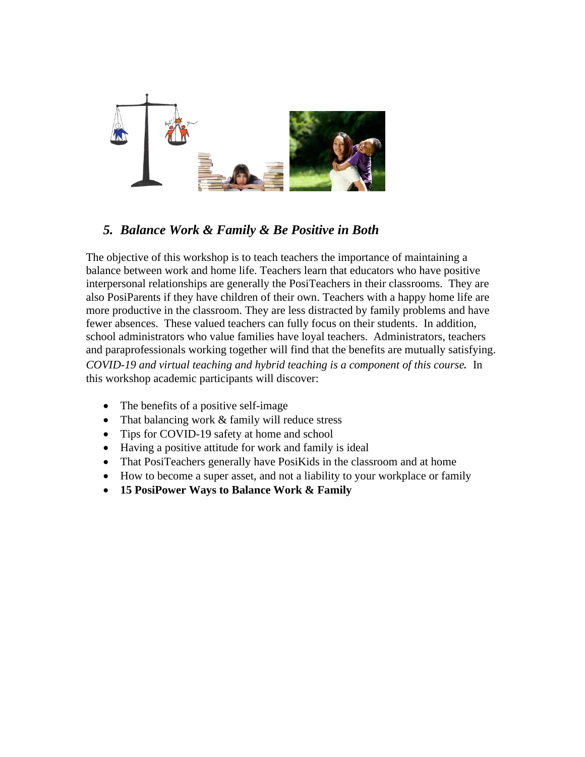

# *5. Balance Work & Family & Be Positive in Both*

The objective of this workshop is to teach teachers the importance of maintaining a balance between work and home life. Teachers learn that educators who have positive interpersonal relationships are generally the PosiTeachers in their classrooms. They are also PosiParents if they have children of their own. Teachers with a happy home life are more productive in the classroom. They are less distracted by family problems and have fewer absences. These valued teachers can fully focus on their students. In addition, school administrators who value families have loyal teachers. Administrators, teachers and paraprofessionals working together will find that the benefits are mutually satisfying. *COVID-19 and virtual teaching and hybrid teaching is a component of this course.* In this workshop academic participants will discover:

- The benefits of a positive self-image
- That balancing work & family will reduce stress
- Tips for COVID-19 safety at home and school
- Having a positive attitude for work and family is ideal
- That PosiTeachers generally have PosiKids in the classroom and at home
- How to become a super asset, and not a liability to your workplace or family
- **15 PosiPower Ways to Balance Work & Family**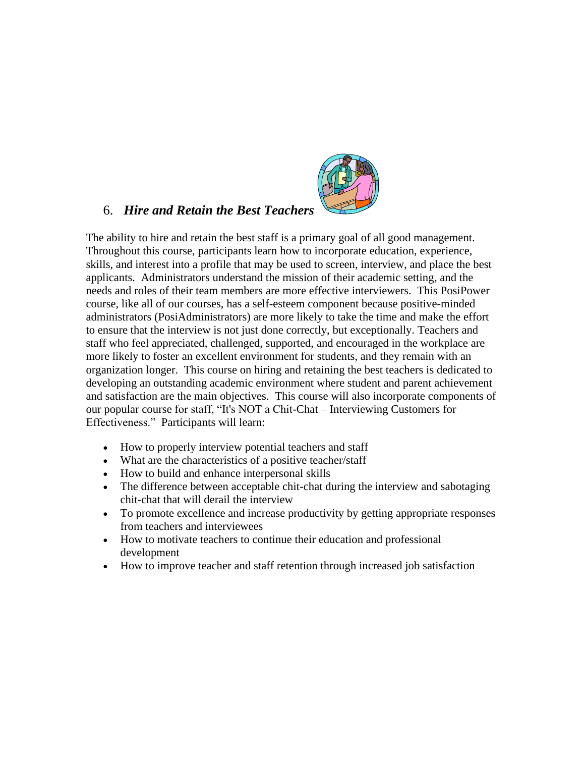

#### 6. *Hire and Retain the Best Teachers*

The ability to hire and retain the best staff is a primary goal of all good management. Throughout this course, participants learn how to incorporate education, experience, skills, and interest into a profile that may be used to screen, interview, and place the best applicants. Administrators understand the mission of their academic setting, and the needs and roles of their team members are more effective interviewers. This PosiPower course, like all of our courses, has a self-esteem component because positive-minded administrators (PosiAdministrators) are more likely to take the time and make the effort to ensure that the interview is not just done correctly, but exceptionally. Teachers and staff who feel appreciated, challenged, supported, and encouraged in the workplace are more likely to foster an excellent environment for students, and they remain with an organization longer. This course on hiring and retaining the best teachers is dedicated to developing an outstanding academic environment where student and parent achievement and satisfaction are the main objectives. This course will also incorporate components of our popular course for staff, "It's NOT a Chit-Chat – Interviewing Customers for Effectiveness." Participants will learn:

- How to properly interview potential teachers and staff
- What are the characteristics of a positive teacher/staff
- How to build and enhance interpersonal skills
- The difference between acceptable chit-chat during the interview and sabotaging chit-chat that will derail the interview
- To promote excellence and increase productivity by getting appropriate responses from teachers and interviewees
- How to motivate teachers to continue their education and professional development
- How to improve teacher and staff retention through increased job satisfaction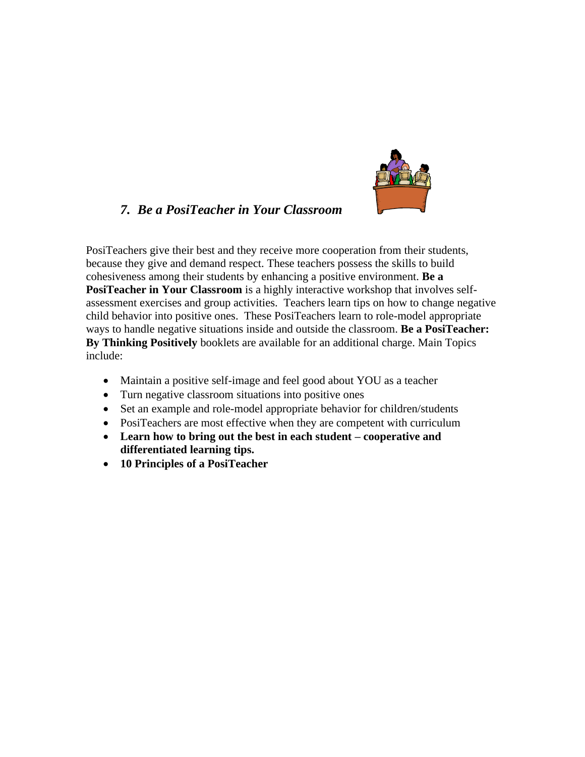

## *7. Be a PosiTeacher in Your Classroom*

PosiTeachers give their best and they receive more cooperation from their students, because they give and demand respect. These teachers possess the skills to build cohesiveness among their students by enhancing a positive environment. **Be a PosiTeacher in Your Classroom** is a highly interactive workshop that involves selfassessment exercises and group activities. Teachers learn tips on how to change negative child behavior into positive ones. These PosiTeachers learn to role-model appropriate ways to handle negative situations inside and outside the classroom. **Be a PosiTeacher: By Thinking Positively** booklets are available for an additional charge. Main Topics include:

- Maintain a positive self-image and feel good about YOU as a teacher
- Turn negative classroom situations into positive ones
- Set an example and role-model appropriate behavior for children/students
- PosiTeachers are most effective when they are competent with curriculum
- **Learn how to bring out the best in each student – cooperative and differentiated learning tips.**
- **10 Principles of a PosiTeacher**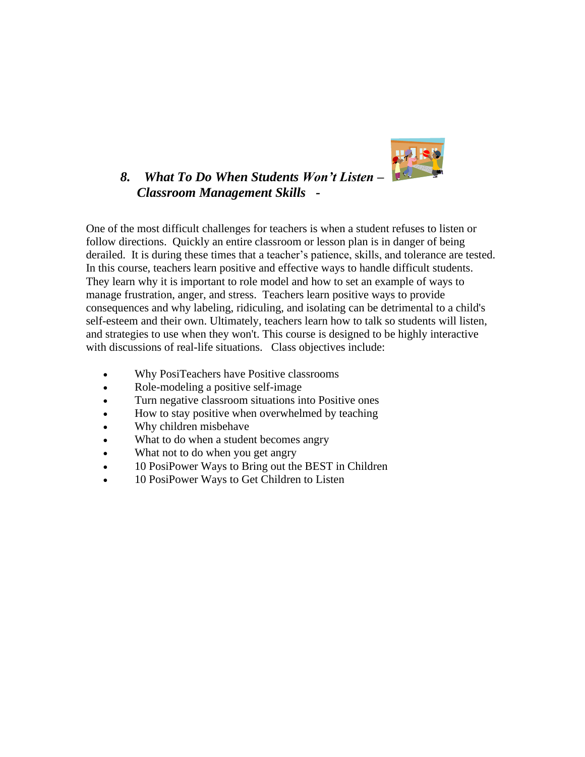

## *8. What To Do When Students Won't Listen – Classroom Management Skills -*

One of the most difficult challenges for teachers is when a student refuses to listen or follow directions. Quickly an entire classroom or lesson plan is in danger of being derailed. It is during these times that a teacher's patience, skills, and tolerance are tested. In this course, teachers learn positive and effective ways to handle difficult students. They learn why it is important to role model and how to set an example of ways to manage frustration, anger, and stress. Teachers learn positive ways to provide consequences and why labeling, ridiculing, and isolating can be detrimental to a child's self-esteem and their own. Ultimately, teachers learn how to talk so students will listen, and strategies to use when they won't. This course is designed to be highly interactive with discussions of real-life situations. Class objectives include:

- Why PosiTeachers have Positive classrooms
- Role-modeling a positive self-image
- Turn negative classroom situations into Positive ones
- How to stay positive when overwhelmed by teaching
- Why children misbehave
- What to do when a student becomes angry
- What not to do when you get angry
- 10 PosiPower Ways to Bring out the BEST in Children
- 10 PosiPower Ways to Get Children to Listen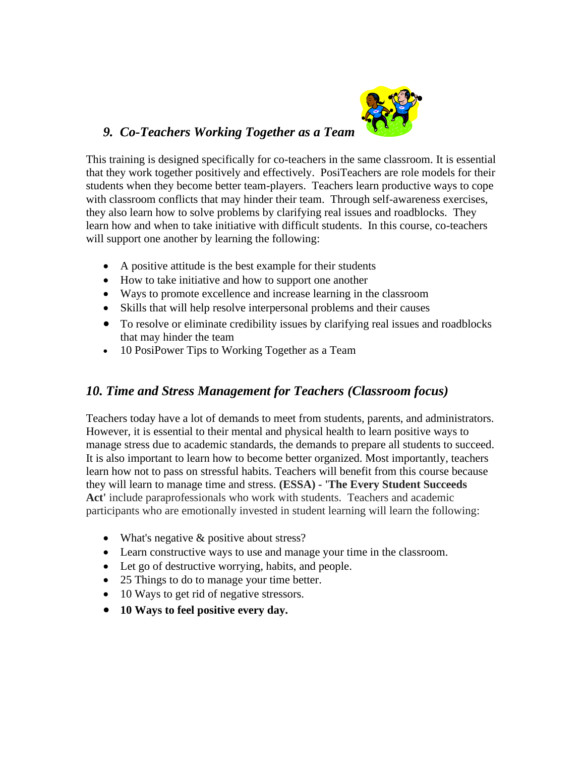

## *9. Co-Teachers Working Together as a Team*

This training is designed specifically for co-teachers in the same classroom. It is essential that they work together positively and effectively. PosiTeachers are role models for their students when they become better team-players. Teachers learn productive ways to cope with classroom conflicts that may hinder their team. Through self-awareness exercises, they also learn how to solve problems by clarifying real issues and roadblocks. They learn how and when to take initiative with difficult students. In this course, co-teachers will support one another by learning the following:

- A positive attitude is the best example for their students
- How to take initiative and how to support one another
- Ways to promote excellence and increase learning in the classroom
- Skills that will help resolve interpersonal problems and their causes
- To resolve or eliminate credibility issues by clarifying real issues and roadblocks that may hinder the team
- 10 PosiPower Tips to Working Together as a Team

### *10. Time and Stress Management for Teachers (Classroom focus)*

Teachers today have a lot of demands to meet from students, parents, and administrators. However, it is essential to their mental and physical health to learn positive ways to manage stress due to academic standards, the demands to prepare all students to succeed. It is also important to learn how to become better organized. Most importantly, teachers learn how not to pass on stressful habits. Teachers will benefit from this course because they will learn to manage time and stress. **(ESSA) - 'The Every Student Succeeds Act'** include paraprofessionals who work with students. Teachers and academic participants who are emotionally invested in student learning will learn the following:

- What's negative & positive about stress?
- Learn constructive ways to use and manage your time in the classroom.
- Let go of destructive worrying, habits, and people.
- 25 Things to do to manage your time better.
- 10 Ways to get rid of negative stressors.
- **10 Ways to feel positive every day.**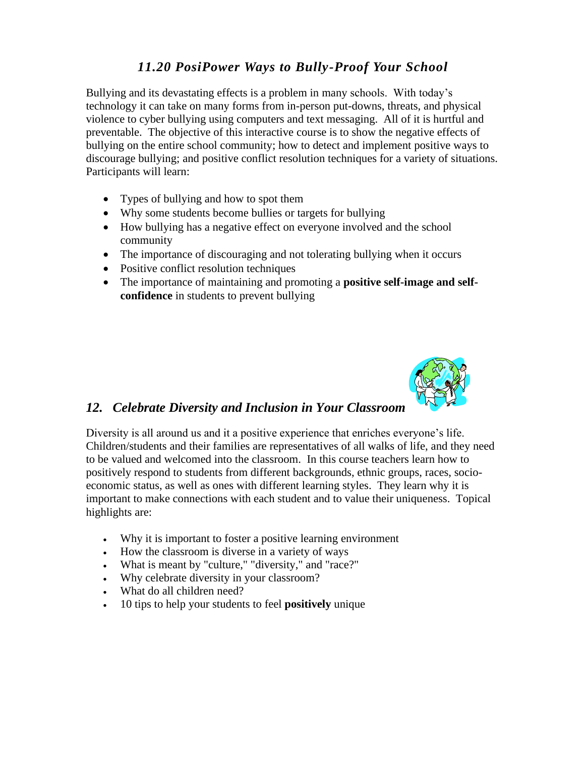# *11.20 PosiPower Ways to Bully-Proof Your School*

Bullying and its devastating effects is a problem in many schools. With today's technology it can take on many forms from in-person put-downs, threats, and physical violence to cyber bullying using computers and text messaging. All of it is hurtful and preventable. The objective of this interactive course is to show the negative effects of bullying on the entire school community; how to detect and implement positive ways to discourage bullying; and positive conflict resolution techniques for a variety of situations. Participants will learn:

- Types of bullying and how to spot them
- Why some students become bullies or targets for bullying
- How bullying has a negative effect on everyone involved and the school community
- The importance of discouraging and not tolerating bullying when it occurs
- Positive conflict resolution techniques
- The importance of maintaining and promoting a **positive self-image and selfconfidence** in students to prevent bullying



### *12. Celebrate Diversity and Inclusion in Your Classroom*

Diversity is all around us and it a positive experience that enriches everyone's life. Children/students and their families are representatives of all walks of life, and they need to be valued and welcomed into the classroom. In this course teachers learn how to positively respond to students from different backgrounds, ethnic groups, races, socioeconomic status, as well as ones with different learning styles. They learn why it is important to make connections with each student and to value their uniqueness. Topical highlights are:

- Why it is important to foster a positive learning environment
- How the classroom is diverse in a variety of ways
- What is meant by "culture," "diversity," and "race?"
- Why celebrate diversity in your classroom?
- What do all children need?
- 10 tips to help your students to feel **positively** unique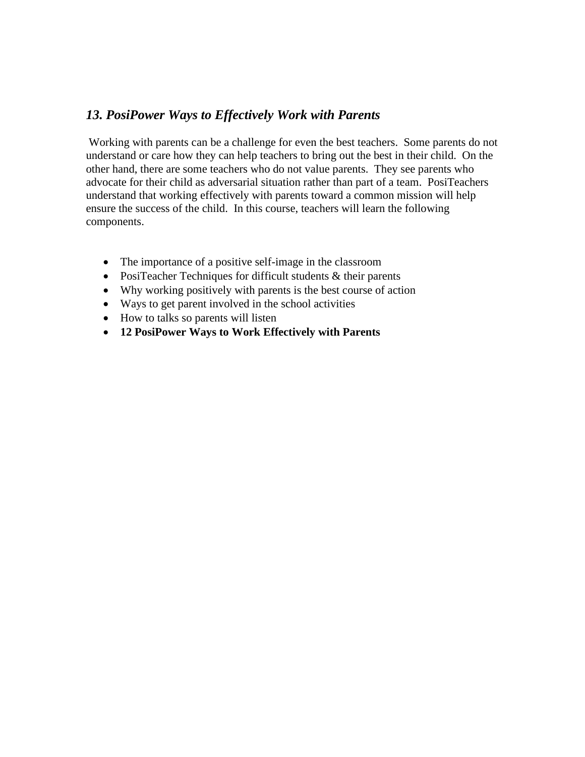### *13. PosiPower Ways to Effectively Work with Parents*

Working with parents can be a challenge for even the best teachers. Some parents do not understand or care how they can help teachers to bring out the best in their child. On the other hand, there are some teachers who do not value parents. They see parents who advocate for their child as adversarial situation rather than part of a team. PosiTeachers understand that working effectively with parents toward a common mission will help ensure the success of the child. In this course, teachers will learn the following components.

- The importance of a positive self-image in the classroom
- PosiTeacher Techniques for difficult students & their parents
- Why working positively with parents is the best course of action
- Ways to get parent involved in the school activities
- How to talks so parents will listen
- **12 PosiPower Ways to Work Effectively with Parents**